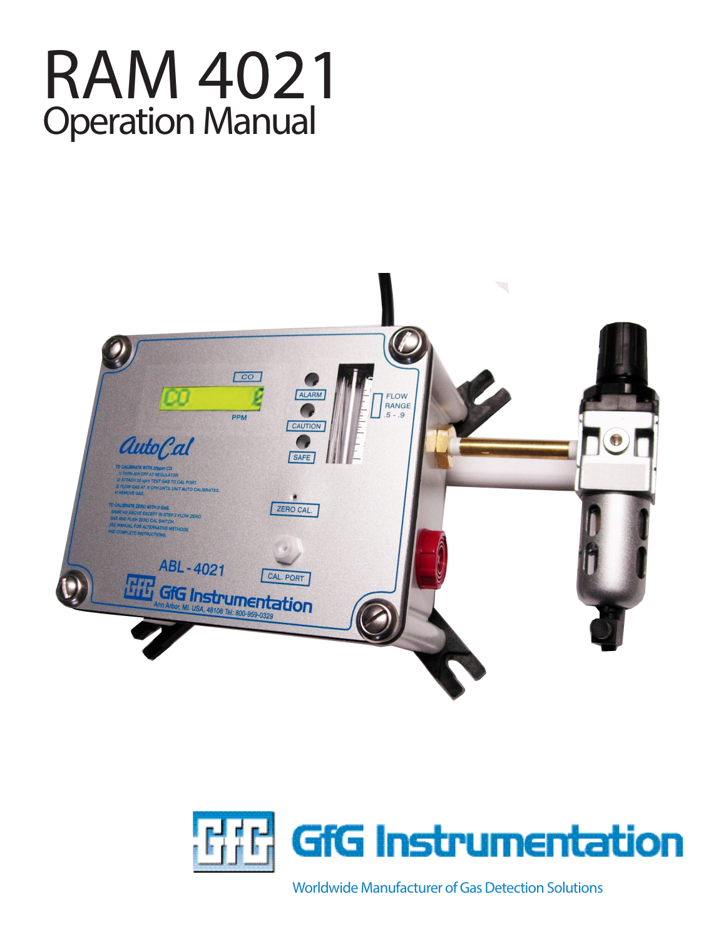





Worldwide Manufacturer of Gas Detection Solutions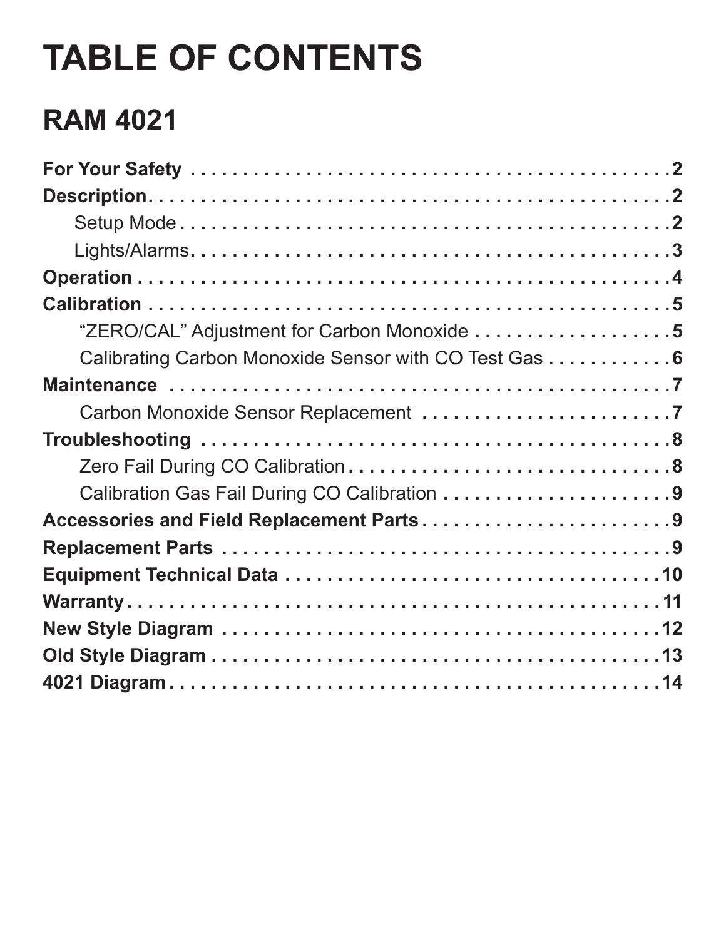# **TABLE OF CONTENTS**

# **RAM 4021**

| "ZERO/CAL" Adjustment for Carbon Monoxide 5           |
|-------------------------------------------------------|
| Calibrating Carbon Monoxide Sensor with CO Test Gas 6 |
|                                                       |
|                                                       |
|                                                       |
|                                                       |
|                                                       |
| Accessories and Field Replacement Parts9              |
|                                                       |
|                                                       |
|                                                       |
|                                                       |
|                                                       |
|                                                       |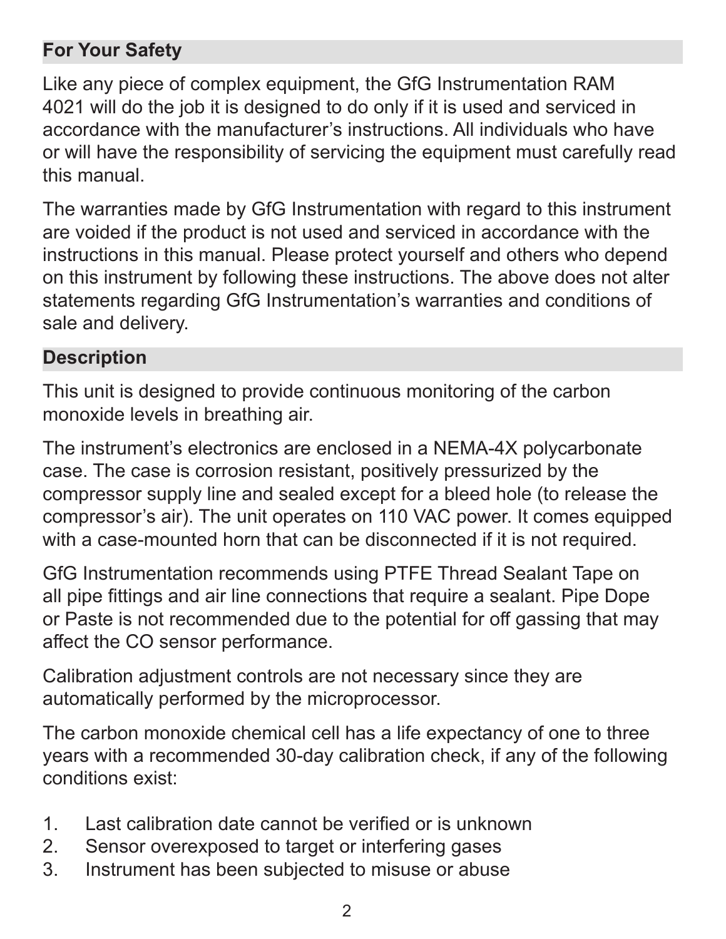## **For Your Safety**

Like any piece of complex equipment, the GfG Instrumentation RAM 4021 will do the job it is designed to do only if it is used and serviced in accordance with the manufacturer's instructions. All individuals who have or will have the responsibility of servicing the equipment must carefully read this manual.

The warranties made by GfG Instrumentation with regard to this instrument are voided if the product is not used and serviced in accordance with the instructions in this manual. Please protect yourself and others who depend on this instrument by following these instructions. The above does not alter statements regarding GfG Instrumentation's warranties and conditions of sale and delivery.

#### **Description**

This unit is designed to provide continuous monitoring of the carbon monoxide levels in breathing air.

The instrument's electronics are enclosed in a NEMA-4X polycarbonate case. The case is corrosion resistant, positively pressurized by the compressor supply line and sealed except for a bleed hole (to release the compressor's air). The unit operates on 110 VAC power. It comes equipped with a case-mounted horn that can be disconnected if it is not required.

GfG Instrumentation recommends using PTFE Thread Sealant Tape on all pipe fittings and air line connections that require a sealant. Pipe Dope or Paste is not recommended due to the potential for off gassing that may affect the CO sensor performance.

Calibration adjustment controls are not necessary since they are automatically performed by the microprocessor.

The carbon monoxide chemical cell has a life expectancy of one to three years with a recommended 30-day calibration check, if any of the following conditions exist:

- 1. Last calibration date cannot be verified or is unknown
- 2. Sensor overexposed to target or interfering gases
- 3. Instrument has been subjected to misuse or abuse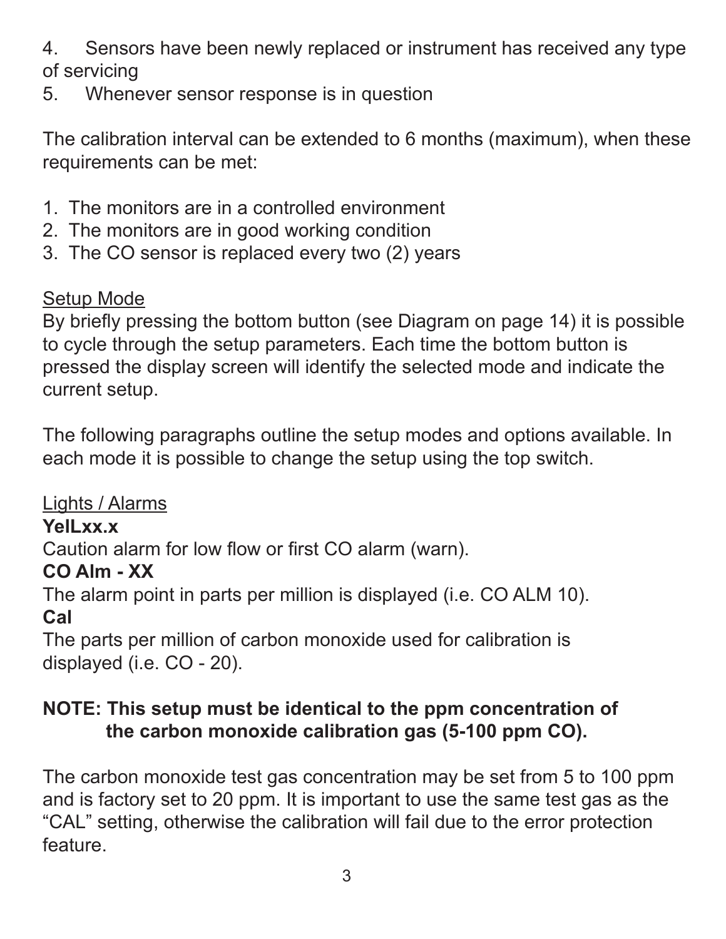4. Sensors have been newly replaced or instrument has received any type of servicing

5. Whenever sensor response is in question

The calibration interval can be extended to 6 months (maximum), when these requirements can be met:

- 1. The monitors are in a controlled environment
- 2. The monitors are in good working condition
- 3. The CO sensor is replaced every two (2) years

# Setup Mode

By briefly pressing the bottom button (see Diagram on page 14) it is possible to cycle through the setup parameters. Each time the bottom button is pressed the display screen will identify the selected mode and indicate the current setup.

The following paragraphs outline the setup modes and options available. In each mode it is possible to change the setup using the top switch.

Lights / Alarms

# **YelLxx.x**

Caution alarm for low flow or first CO alarm (warn).

# **CO Alm - XX**

The alarm point in parts per million is displayed (i.e. CO ALM 10). **Cal**

The parts per million of carbon monoxide used for calibration is displayed (i.e. CO - 20).

# **NOTE: This setup must be identical to the ppm concentration of the carbon monoxide calibration gas (5-100 ppm CO).**

The carbon monoxide test gas concentration may be set from 5 to 100 ppm and is factory set to 20 ppm. It is important to use the same test gas as the "CAL" setting, otherwise the calibration will fail due to the error protection feature.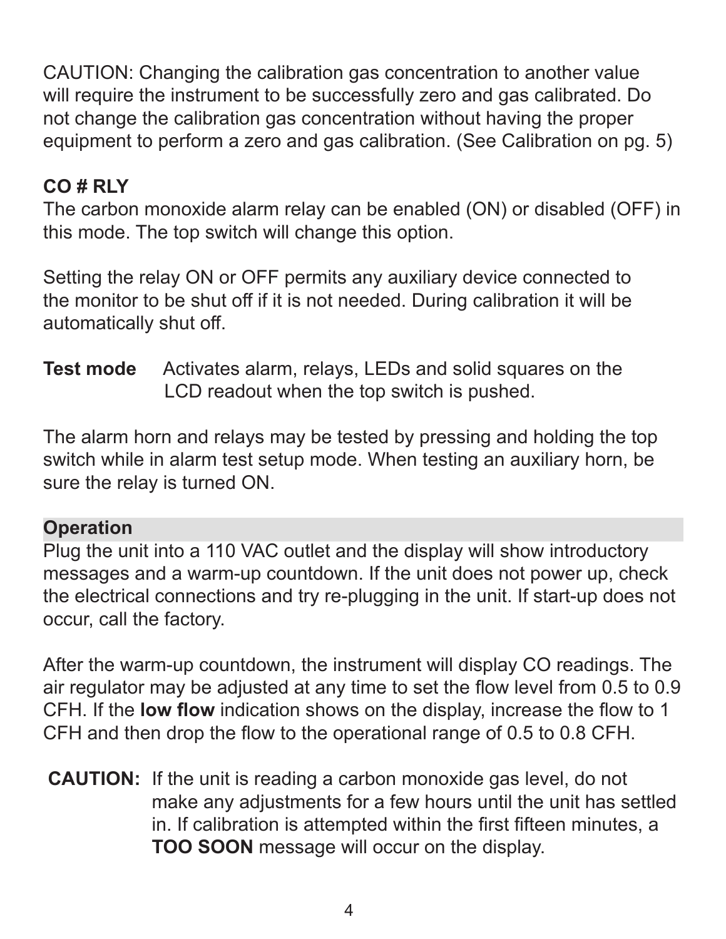CAUTION: Changing the calibration gas concentration to another value will require the instrument to be successfully zero and gas calibrated. Do not change the calibration gas concentration without having the proper equipment to perform a zero and gas calibration. (See Calibration on pg. 5)

# **CO # RLY**

The carbon monoxide alarm relay can be enabled (ON) or disabled (OFF) in this mode. The top switch will change this option.

Setting the relay ON or OFF permits any auxiliary device connected to the monitor to be shut off if it is not needed. During calibration it will be automatically shut off.

**Test mode** Activates alarm, relays, LEDs and solid squares on the LCD readout when the top switch is pushed.

The alarm horn and relays may be tested by pressing and holding the top switch while in alarm test setup mode. When testing an auxiliary horn, be sure the relay is turned ON.

#### **Operation**

Plug the unit into a 110 VAC outlet and the display will show introductory messages and a warm-up countdown. If the unit does not power up, check the electrical connections and try re-plugging in the unit. If start-up does not occur, call the factory.

After the warm-up countdown, the instrument will display CO readings. The air regulator may be adjusted at any time to set the flow level from 0.5 to 0.9 CFH. If the **low flow** indication shows on the display, increase the flow to 1 CFH and then drop the flow to the operational range of 0.5 to 0.8 CFH.

**CAUTION:** If the unit is reading a carbon monoxide gas level, do not make any adjustments for a few hours until the unit has settled in. If calibration is attempted within the first fifteen minutes, a **TOO SOON** message will occur on the display.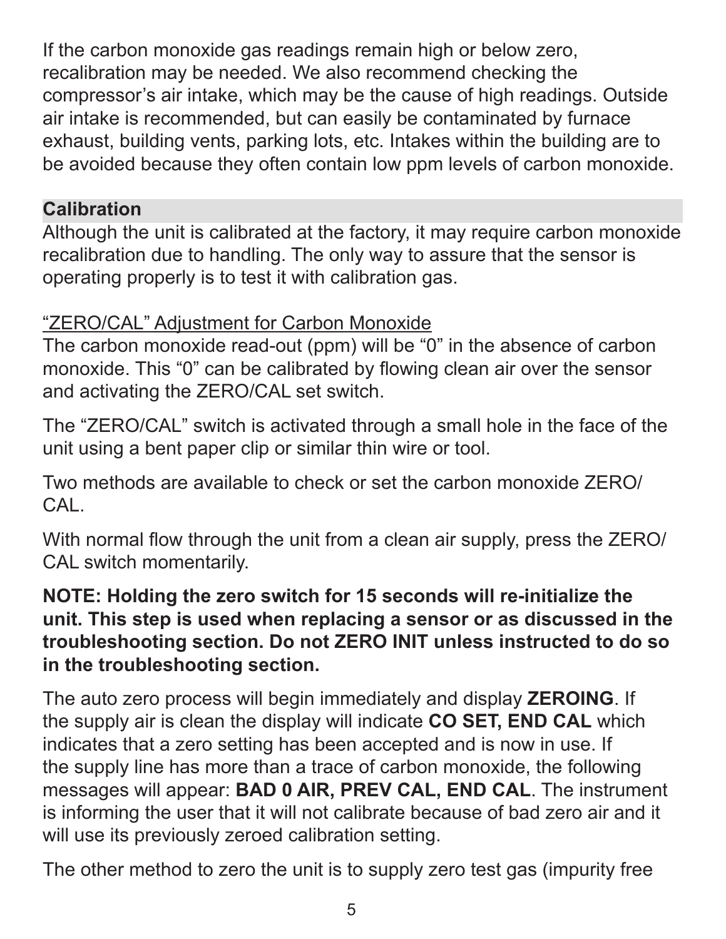If the carbon monoxide gas readings remain high or below zero, recalibration may be needed. We also recommend checking the compressor's air intake, which may be the cause of high readings. Outside air intake is recommended, but can easily be contaminated by furnace exhaust, building vents, parking lots, etc. Intakes within the building are to be avoided because they often contain low ppm levels of carbon monoxide.

#### **Calibration**

Although the unit is calibrated at the factory, it may require carbon monoxide recalibration due to handling. The only way to assure that the sensor is operating properly is to test it with calibration gas.

# "ZERO/CAL" Adjustment for Carbon Monoxide

The carbon monoxide read-out (ppm) will be "0" in the absence of carbon monoxide. This "0" can be calibrated by flowing clean air over the sensor and activating the ZERO/CAL set switch.

The "ZERO/CAL" switch is activated through a small hole in the face of the unit using a bent paper clip or similar thin wire or tool.

Two methods are available to check or set the carbon monoxide ZERO/ CAL.

With normal flow through the unit from a clean air supply, press the ZERO/ CAL switch momentarily.

#### **NOTE: Holding the zero switch for 15 seconds will re-initialize the unit. This step is used when replacing a sensor or as discussed in the troubleshooting section. Do not ZERO INIT unless instructed to do so in the troubleshooting section.**

The auto zero process will begin immediately and display **ZEROING**. If the supply air is clean the display will indicate **CO SET, END CAL** which indicates that a zero setting has been accepted and is now in use. If the supply line has more than a trace of carbon monoxide, the following messages will appear: **BAD 0 AIR, PREV CAL, END CAL**. The instrument is informing the user that it will not calibrate because of bad zero air and it will use its previously zeroed calibration setting.

The other method to zero the unit is to supply zero test gas (impurity free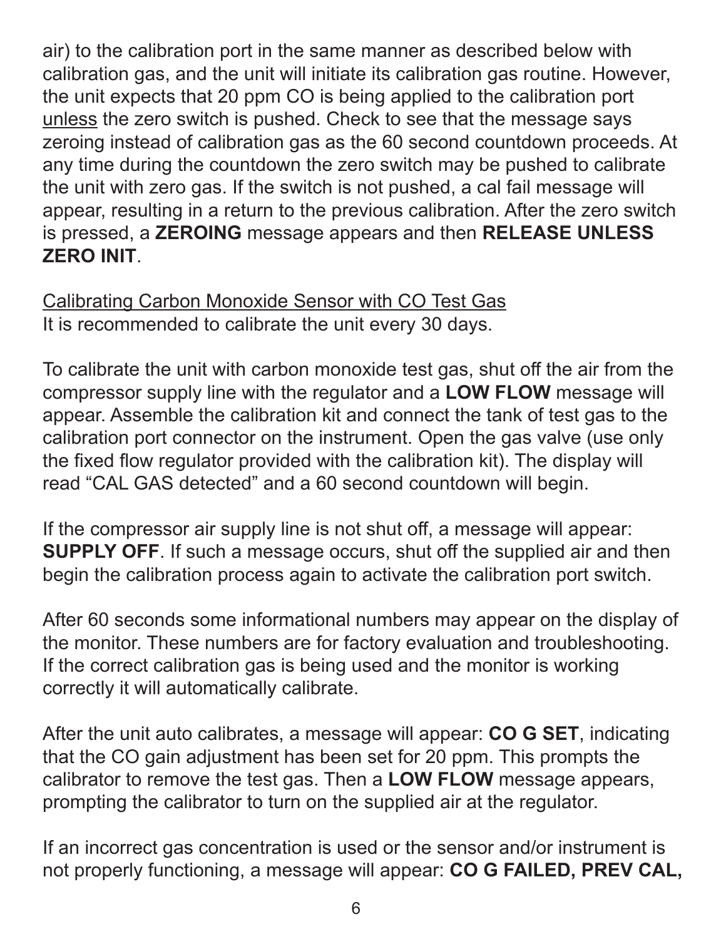air) to the calibration port in the same manner as described below with calibration gas, and the unit will initiate its calibration gas routine. However, the unit expects that 20 ppm CO is being applied to the calibration port unless the zero switch is pushed. Check to see that the message says zeroing instead of calibration gas as the 60 second countdown proceeds. At any time during the countdown the zero switch may be pushed to calibrate the unit with zero gas. If the switch is not pushed, a cal fail message will appear, resulting in a return to the previous calibration. After the zero switch is pressed, a **ZEROING** message appears and then **RELEASE UNLESS ZERO INIT**.

Calibrating Carbon Monoxide Sensor with CO Test Gas It is recommended to calibrate the unit every 30 days.

To calibrate the unit with carbon monoxide test gas, shut off the air from the compressor supply line with the regulator and a **LOW FLOW** message will appear. Assemble the calibration kit and connect the tank of test gas to the calibration port connector on the instrument. Open the gas valve (use only the fixed flow regulator provided with the calibration kit). The display will read "CAL GAS detected" and a 60 second countdown will begin.

If the compressor air supply line is not shut off, a message will appear: **SUPPLY OFF.** If such a message occurs, shut off the supplied air and then begin the calibration process again to activate the calibration port switch.

After 60 seconds some informational numbers may appear on the display of the monitor. These numbers are for factory evaluation and troubleshooting. If the correct calibration gas is being used and the monitor is working correctly it will automatically calibrate.

After the unit auto calibrates, a message will appear: **CO G SET**, indicating that the CO gain adjustment has been set for 20 ppm. This prompts the calibrator to remove the test gas. Then a **LOW FLOW** message appears, prompting the calibrator to turn on the supplied air at the regulator.

If an incorrect gas concentration is used or the sensor and/or instrument is not properly functioning, a message will appear: **CO G FAILED, PREV CAL,**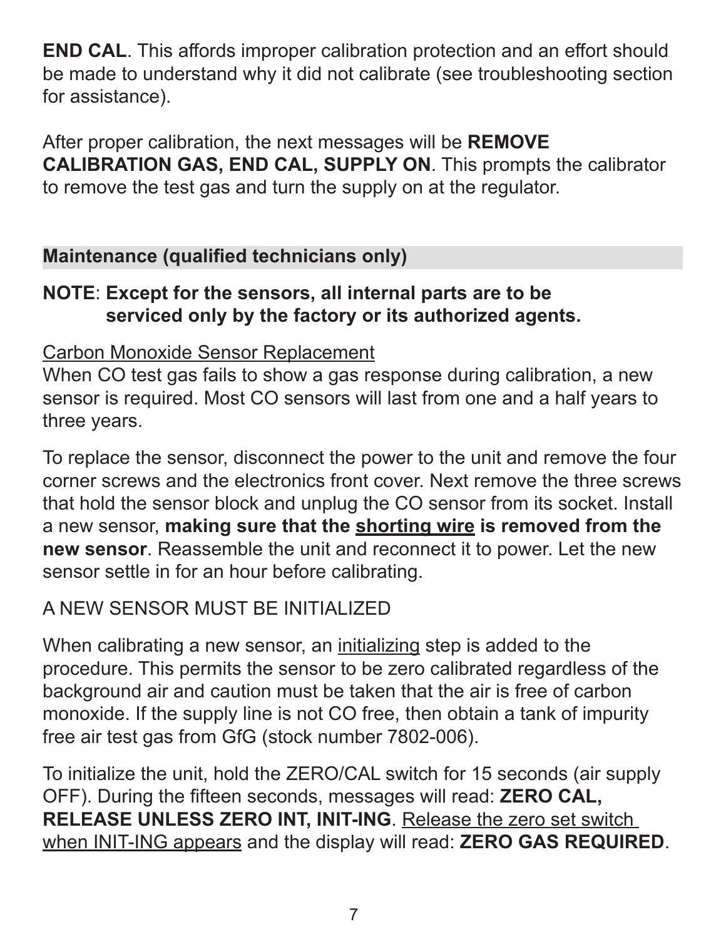**END CAL**. This affords improper calibration protection and an effort should be made to understand why it did not calibrate (see troubleshooting section for assistance).

After proper calibration, the next messages will be **REMOVE CALIBRATION GAS, END CAL, SUPPLY ON**. This prompts the calibrator to remove the test gas and turn the supply on at the regulator.

#### **Maintenance (qualified technicians only)**

#### **NOTE**: **Except for the sensors, all internal parts are to be serviced only by the factory or its authorized agents.**

#### Carbon Monoxide Sensor Replacement

When CO test gas fails to show a gas response during calibration, a new sensor is required. Most CO sensors will last from one and a half years to three years.

To replace the sensor, disconnect the power to the unit and remove the four corner screws and the electronics front cover. Next remove the three screws that hold the sensor block and unplug the CO sensor from its socket. Install a new sensor, **making sure that the shorting wire is removed from the new sensor**. Reassemble the unit and reconnect it to power. Let the new sensor settle in for an hour before calibrating.

## A NEW SENSOR MUST BE INITIALIZED

When calibrating a new sensor, an initializing step is added to the procedure. This permits the sensor to be zero calibrated regardless of the background air and caution must be taken that the air is free of carbon monoxide. If the supply line is not CO free, then obtain a tank of impurity free air test gas from GfG (stock number 7802-006).

To initialize the unit, hold the ZERO/CAL switch for 15 seconds (air supply OFF). During the fifteen seconds, messages will read: **ZERO CAL, RELEASE UNLESS ZERO INT, INIT-ING**. Release the zero set switch when INIT-ING appears and the display will read: **ZERO GAS REQUIRED**.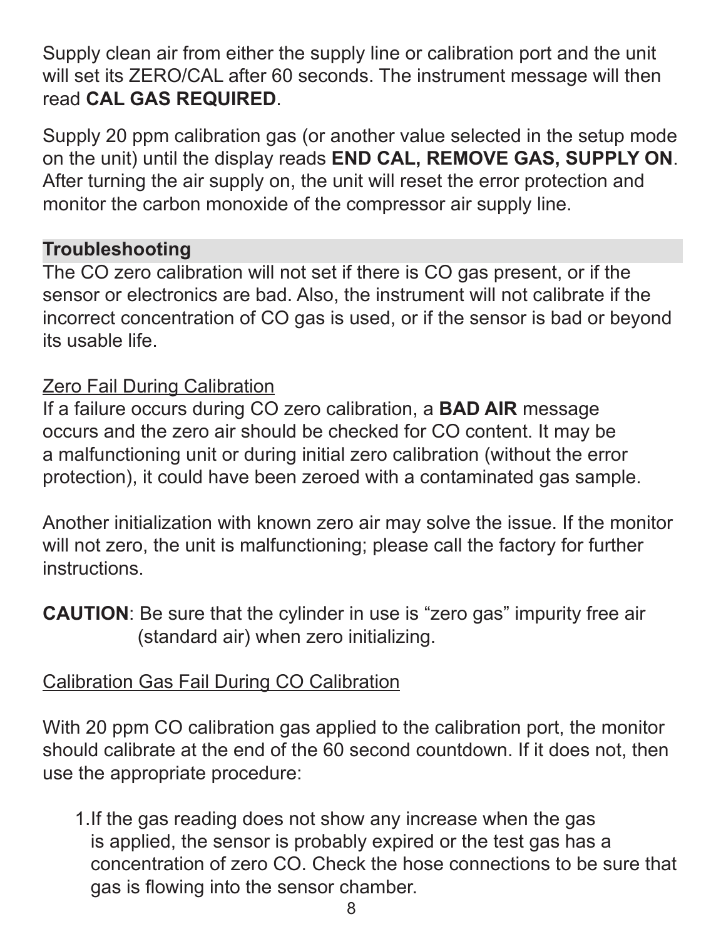Supply clean air from either the supply line or calibration port and the unit will set its ZERO/CAL after 60 seconds. The instrument message will then read **CAL GAS REQUIRED**.

Supply 20 ppm calibration gas (or another value selected in the setup mode on the unit) until the display reads **END CAL, REMOVE GAS, SUPPLY ON**. After turning the air supply on, the unit will reset the error protection and monitor the carbon monoxide of the compressor air supply line.

#### **Troubleshooting**

The CO zero calibration will not set if there is CO gas present, or if the sensor or electronics are bad. Also, the instrument will not calibrate if the incorrect concentration of CO gas is used, or if the sensor is bad or beyond its usable life.

#### Zero Fail During Calibration

If a failure occurs during CO zero calibration, a **BAD AIR** message occurs and the zero air should be checked for CO content. It may be a malfunctioning unit or during initial zero calibration (without the error protection), it could have been zeroed with a contaminated gas sample.

Another initialization with known zero air may solve the issue. If the monitor will not zero, the unit is malfunctioning; please call the factory for further instructions.

**CAUTION:** Be sure that the cylinder in use is "zero gas" impurity free air (standard air) when zero initializing.

#### Calibration Gas Fail During CO Calibration

With 20 ppm CO calibration gas applied to the calibration port, the monitor should calibrate at the end of the 60 second countdown. If it does not, then use the appropriate procedure:

1.If the gas reading does not show any increase when the gas is applied, the sensor is probably expired or the test gas has a concentration of zero CO. Check the hose connections to be sure that gas is flowing into the sensor chamber.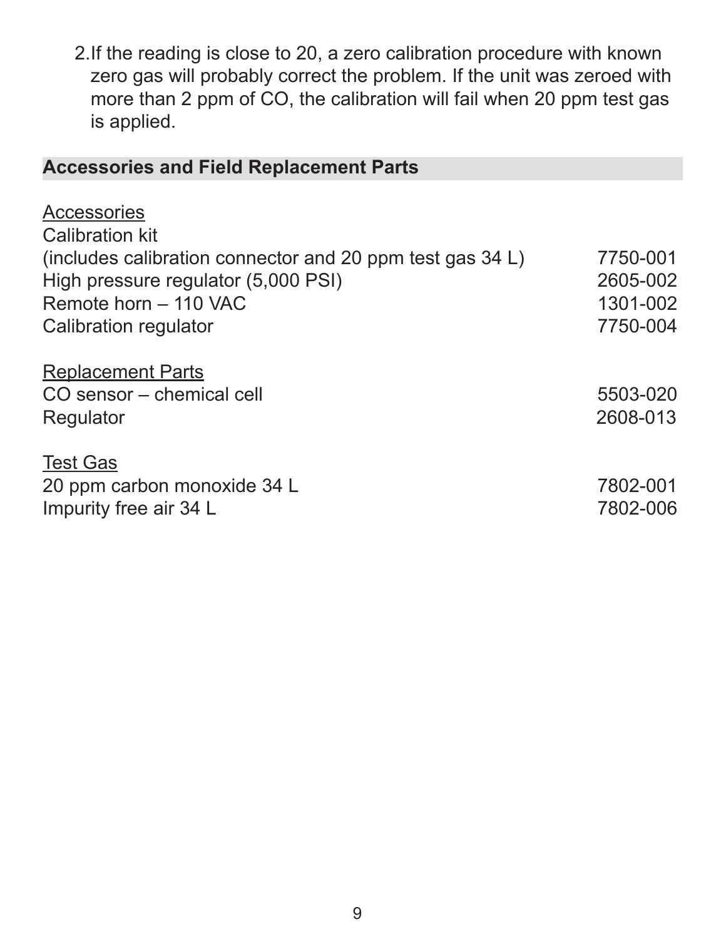2.If the reading is close to 20, a zero calibration procedure with known zero gas will probably correct the problem. If the unit was zeroed with more than 2 ppm of CO, the calibration will fail when 20 ppm test gas is applied.

#### **Accessories and Field Replacement Parts**

| <b>Accessories</b>                                        |          |
|-----------------------------------------------------------|----------|
| <b>Calibration kit</b>                                    |          |
| (includes calibration connector and 20 ppm test gas 34 L) | 7750-001 |
| High pressure regulator (5,000 PSI)                       | 2605-002 |
| Remote horn - 110 VAC                                     | 1301-002 |
| Calibration regulator                                     | 7750-004 |
| <b>Replacement Parts</b>                                  |          |
| CO sensor – chemical cell                                 | 5503-020 |
| Regulator                                                 | 2608-013 |
| <b>Test Gas</b>                                           |          |
| 20 ppm carbon monoxide 34 L                               | 7802-001 |
| Impurity free air 34 L                                    | 7802-006 |
|                                                           |          |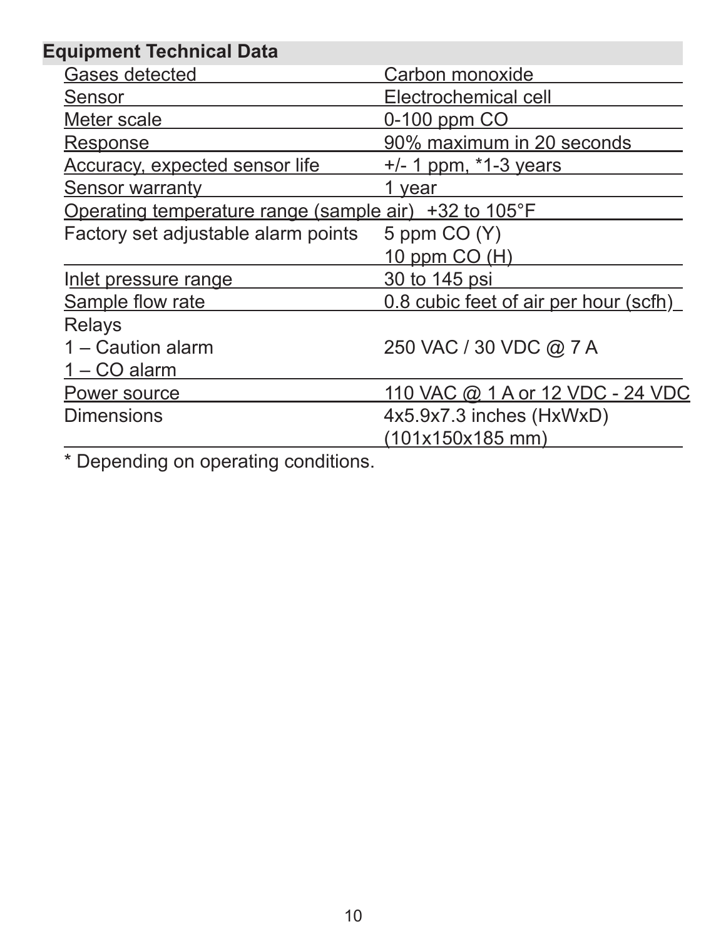| <b>Equipment Technical Data</b>                       |                                       |  |
|-------------------------------------------------------|---------------------------------------|--|
| <b>Gases detected</b>                                 | Carbon monoxide                       |  |
| Sensor                                                | Electrochemical cell                  |  |
| Meter scale                                           | 0-100 ppm CO                          |  |
| <u>Response</u>                                       | 90% maximum in 20 seconds             |  |
| <b>Accuracy, expected sensor life</b>                 | <u>+/- 1 ppm, *1-3 years</u>          |  |
| <b>Sensor warranty</b>                                | 1 year                                |  |
| Operating temperature range (sample air) +32 to 105°F |                                       |  |
| Factory set adjustable alarm points                   | 5 ppm $CO(Y)$                         |  |
|                                                       | 10 ppm CO (H)                         |  |
| Inlet pressure range                                  | 30 to 145 psi                         |  |
| <b>Sample flow rate</b>                               | 0.8 cubic feet of air per hour (scfh) |  |
| <b>Relays</b>                                         |                                       |  |
| 1 – Caution alarm                                     | 250 VAC / 30 VDC @ 7 A                |  |
| 1 – CO alarm                                          |                                       |  |
| Power source                                          | 110 VAC @ 1 A or 12 VDC - 24 VDC      |  |
| <b>Dimensions</b>                                     | 4x5.9x7.3 inches (HxWxD)              |  |
|                                                       | (101x150x185 mm)                      |  |
|                                                       |                                       |  |

\* Depending on operating conditions.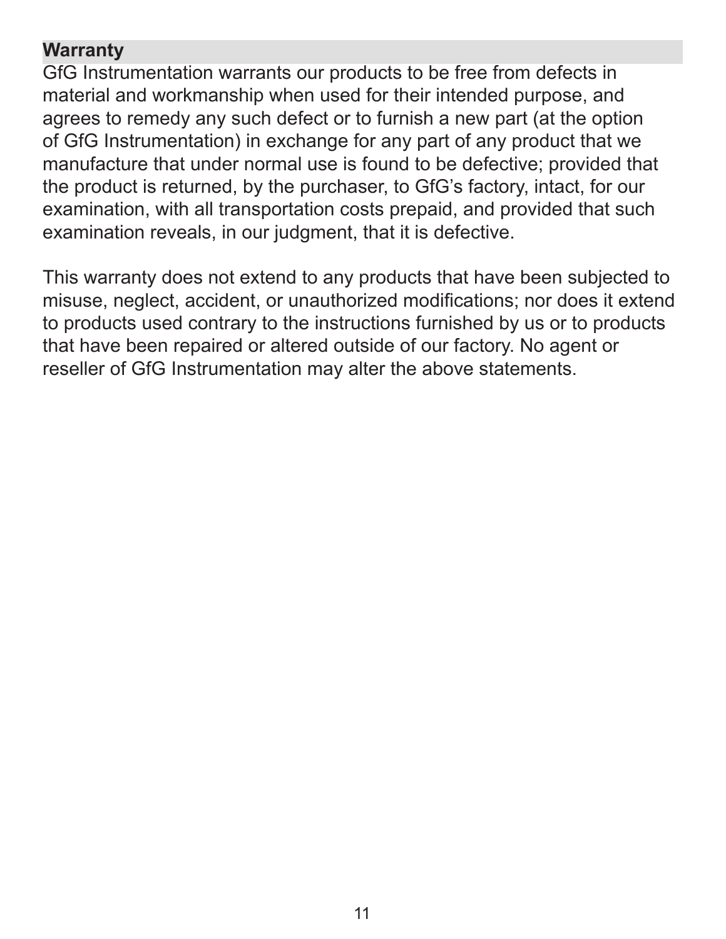#### **Warranty**

GfG Instrumentation warrants our products to be free from defects in material and workmanship when used for their intended purpose, and agrees to remedy any such defect or to furnish a new part (at the option of GfG Instrumentation) in exchange for any part of any product that we manufacture that under normal use is found to be defective; provided that the product is returned, by the purchaser, to GfG's factory, intact, for our examination, with all transportation costs prepaid, and provided that such examination reveals, in our judgment, that it is defective.

This warranty does not extend to any products that have been subjected to misuse, neglect, accident, or unauthorized modifications; nor does it extend to products used contrary to the instructions furnished by us or to products that have been repaired or altered outside of our factory. No agent or reseller of GfG Instrumentation may alter the above statements.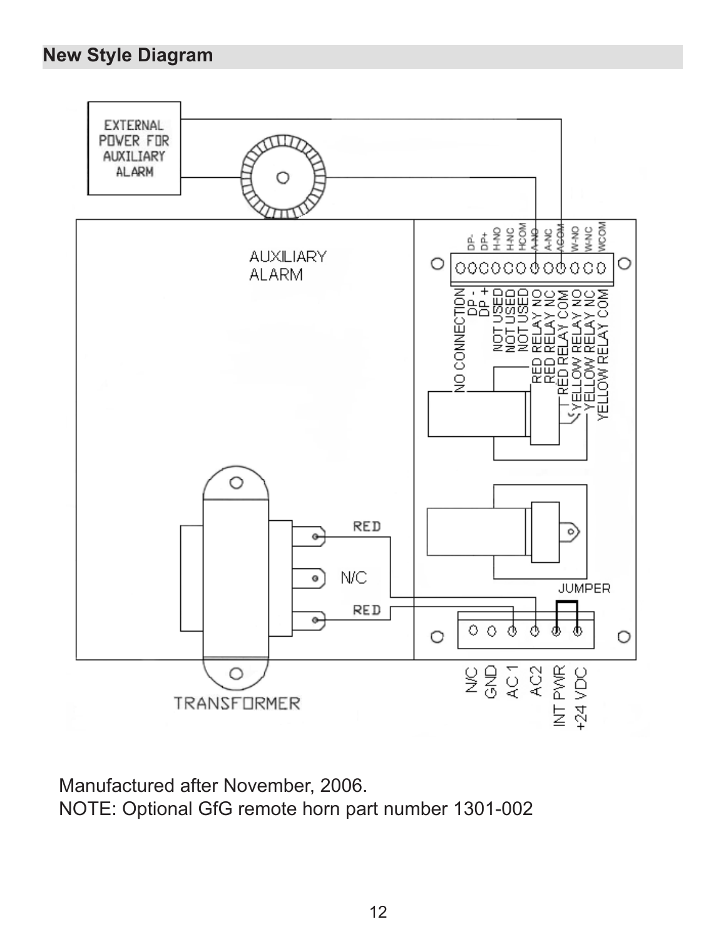#### **New Style Diagram**



Manufactured after November, 2006. NOTE: Optional GfG remote horn part number 1301-002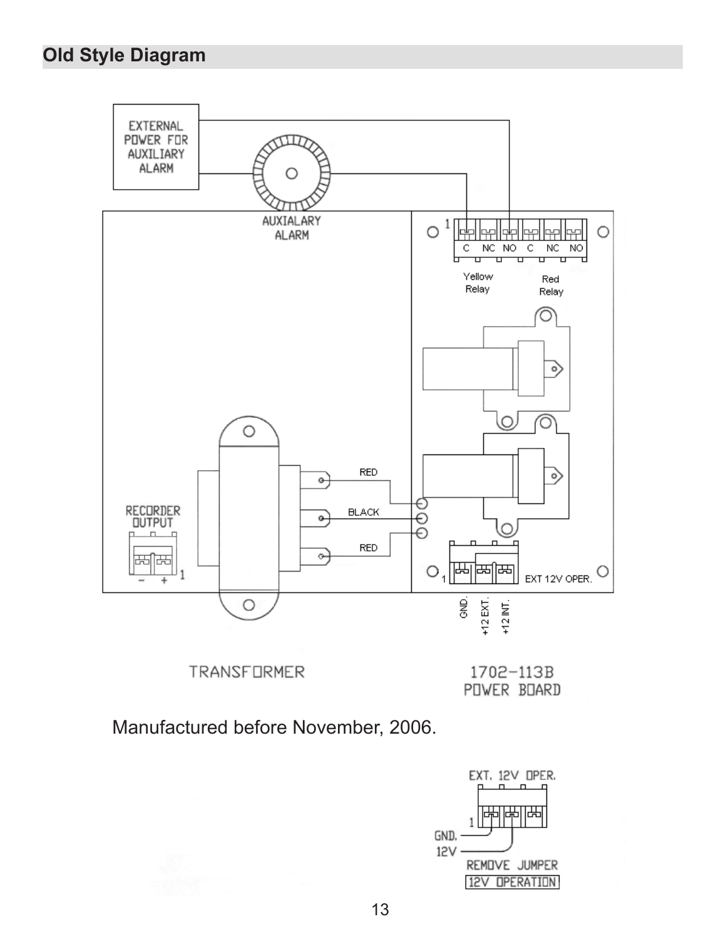#### **Old Style Diagram**



**TRANSFORMER** 

1702-113B POWER BOARD

Manufactured before November, 2006.

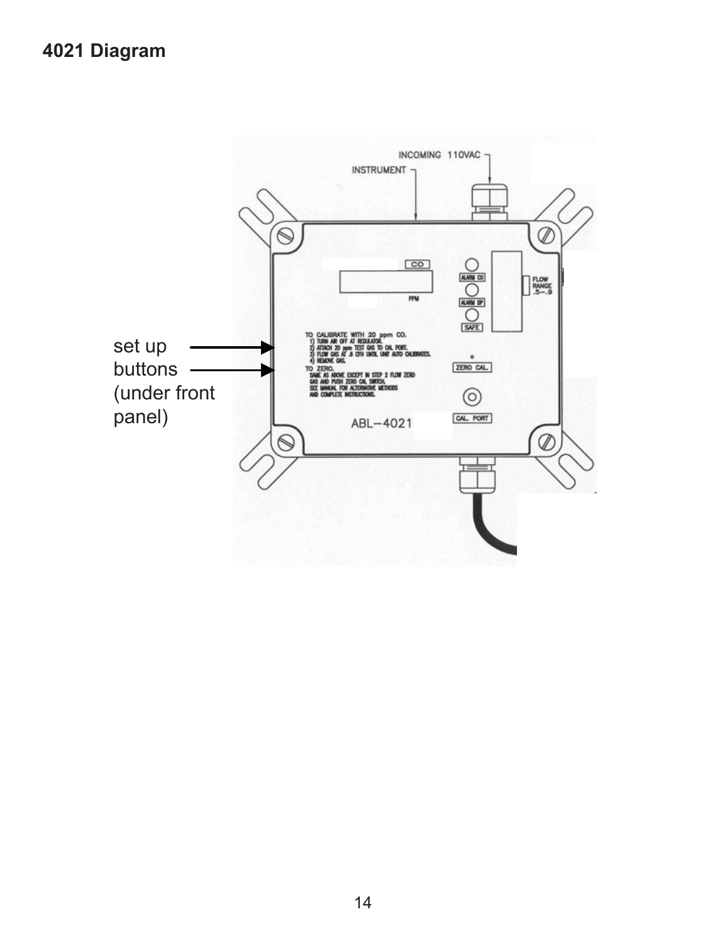